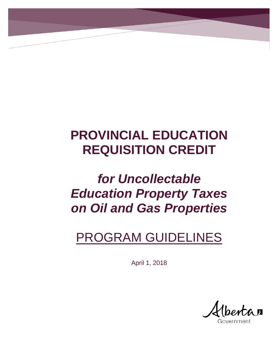# **PROVINCIAL EDUCATION REQUISITION CREDIT**

# *for Uncollectable Education Property Taxes on Oil and Gas Properties*

# PROGRAM GUIDELINES

April 1, 2018

 $\mathbf{U}$ 

overnment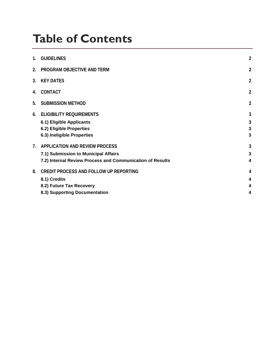# **Table of Contents**

| <b>GUIDELINES</b>                                                                                                                   | $\overline{a}$   |
|-------------------------------------------------------------------------------------------------------------------------------------|------------------|
| PROGRAM OBJECTIVE AND TERM                                                                                                          | $\overline{2}$   |
| <b>KEY DATES</b>                                                                                                                    | $\overline{a}$   |
| <b>CONTACT</b>                                                                                                                      | $\overline{a}$   |
| <b>SUBMISSION METHOD</b>                                                                                                            | $\overline{a}$   |
| <b>ELIGIBILITY REQUIREMENTS</b><br>6.1) Eligible Applicants<br>6.2) Eligible Properties<br>6.3) Ineligible Properties               | 3<br>3<br>3<br>3 |
| APPLICATION AND REVIEW PROCESS<br>7.1) Submission to Municipal Affairs<br>7.2) Internal Review Process and Communication of Results | 3<br>3<br>4      |
| <b>CREDIT PROCESS AND FOLLOW UP REPORTING</b><br>8.1) Credits<br>8.2) Future Tax Recovery<br>8.3) Supporting Documentation          | 4<br>4<br>4<br>4 |
|                                                                                                                                     |                  |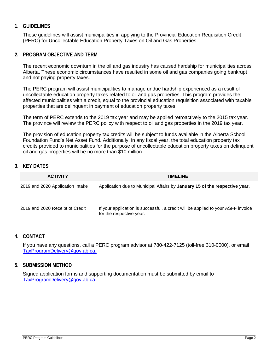### <span id="page-2-0"></span>**1. GUIDELINES**

These guidelines will assist municipalities in applying to the Provincial Education Requisition Credit (PERC) for Uncollectable Education Property Taxes on Oil and Gas Properties.

#### <span id="page-2-1"></span>**2. PROGRAM OBJECTIVE AND TERM**

The recent economic downturn in the oil and gas industry has caused hardship for municipalities across Alberta. These economic circumstances have resulted in some oil and gas companies going bankrupt and not paying property taxes.

The PERC program will assist municipalities to manage undue hardship experienced as a result of uncollectable education property taxes related to oil and gas properties. This program provides the affected municipalities with a credit, equal to the provincial education requisition associated with taxable properties that are delinquent in payment of education property taxes.

The term of PERC extends to the 2019 tax year and may be applied retroactively to the 2015 tax year. The province will review the PERC policy with respect to oil and gas properties in the 2019 tax year.

The provision of education property tax credits will be subject to funds available in the Alberta School Foundation Fund's Net Asset Fund. Additionally, in any fiscal year, the total education property tax credits provided to municipalities for the purpose of uncollectable education property taxes on delinquent oil and gas properties will be no more than \$10 million.

## <span id="page-2-2"></span>**3. KEY DATES**

| <b>ACTIVITY</b>                  | TIMELINE                                                                                                     |
|----------------------------------|--------------------------------------------------------------------------------------------------------------|
| 2019 and 2020 Application Intake | Application due to Municipal Affairs by January 15 of the respective year.                                   |
| 2019 and 2020 Receipt of Credit  | If your application is successful, a credit will be applied to your ASFF invoice<br>for the respective year. |

#### <span id="page-2-3"></span>**4. CONTACT**

If you have any questions, call a PERC program advisor at 780-422-7125 (toll-free 310-0000), or email [TaxProgramDelivery@gov.ab.ca.](mailto:ma.msioperatinggrants@gov.ab.ca)

#### <span id="page-2-4"></span>**5. SUBMISSION METHOD**

Signed application forms and supporting documentation must be submitted by email to [TaxProgramDelivery@gov.ab.ca.](mailto:TaxProgramDelivery@gov.ab.ca)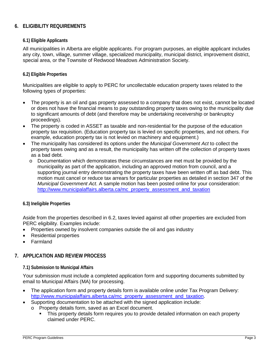# <span id="page-3-0"></span>**6. ELIGIBILITY REQUIREMENTS**

#### <span id="page-3-1"></span>**6.1) Eligible Applicants**

All municipalities in Alberta are eligible applicants. For program purposes, an eligible applicant includes any city, town, village, summer village, specialized municipality, municipal district, improvement district, special area, or the Townsite of Redwood Meadows Administration Society.

#### <span id="page-3-2"></span>**6.2) Eligible Properties**

Municipalities are eligible to apply to PERC for uncollectable education property taxes related to the following types of properties:

- The property is an oil and gas property assessed to a company that does not exist, cannot be located or does not have the financial means to pay outstanding property taxes owing to the municipality due to significant amounts of debt (and therefore may be undertaking receivership or bankruptcy proceedings).
- The property is coded in ASSET as taxable and non-residential for the purpose of the education property tax requisition. (Education property tax is levied on specific properties, and not others. For example, education property tax is not levied on machinery and equipment.)
- The municipality has considered its options under the *Municipal Government Act* to collect the property taxes owing and as a result, the municipality has written off the collection of property taxes as a bad debt.
	- o Documentation which demonstrates these circumstances are met must be provided by the municipality as part of the application, including an approved motion from council, and a supporting journal entry demonstrating the property taxes have been written off as bad debt. This motion must cancel or reduce tax arrears for particular properties as detailed in section 347 of the *Municipal Government Act*. A sample motion has been posted online for your consideration: [http://www.municipalaffairs.alberta.ca/mc\\_property\\_assessment\\_and\\_taxation](http://www.municipalaffairs.alberta.ca/mc_property_assessment_and_taxation)

#### <span id="page-3-3"></span>**6.3) Ineligible Properties**

Aside from the properties described in 6.2, taxes levied against all other properties are excluded from PERC eligibility. Examples include:

- Properties owned by insolvent companies outside the oil and gas industry
- Residential properties
- <span id="page-3-4"></span>• Farmland

### **7. APPLICATION AND REVIEW PROCESS**

#### <span id="page-3-5"></span>**7.1) Submission to Municipal Affairs**

Your submission must include a completed application form and supporting documents submitted by email to Municipal Affairs (MA) for processing.

- The application form and property details form is available online under Tax Program Delivery: [http://www.municipalaffairs.alberta.ca/mc\\_property\\_assessment\\_and\\_taxation.](http://www.municipalaffairs.alberta.ca/mc_property_assessment_and_taxation)
- Supporting documentation to be attached with the signed application include:
	- o Property details form, saved as an Excel document.
		- This property details form requires you to provide detailed information on each property claimed under PERC.